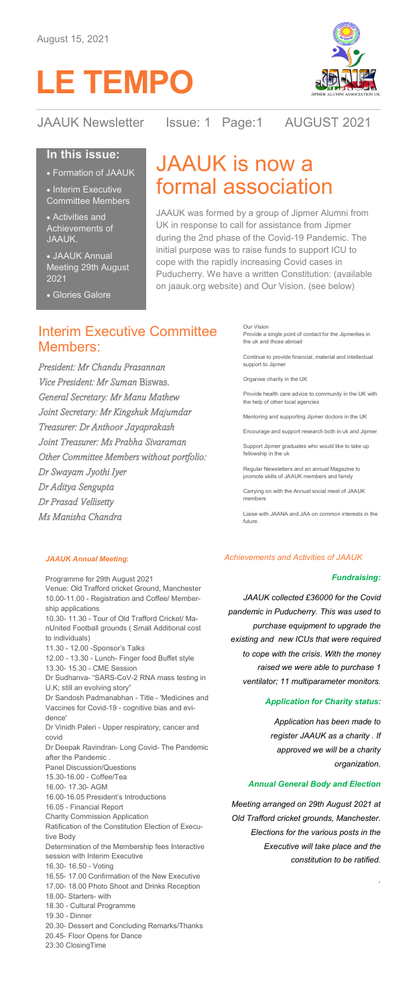



JAAUK Newsletter Issue: 1 Page:1 AUGUST 2021

# **In this issue:**

• Formation of JAAUK

• Interim Executive Committee Members

• Activities and Achievements of JAAUK.

• JAAUK Annual Meeting 29th August 2021

#### Glories Galore

# JAAUK is now a formal association

JAAUK was formed by a group of Jipmer Alumni from UK in response to call for assistance from Jipmer during the 2nd phase of the Covid-19 Pandemic. The initial purpose was to raise funds to support ICU to cope with the rapidly increasing Covid cases in Puducherry. We have a written Constitution: (available on jaauk.org website) and Our Vision. (see below)

# Interim Executive Committee Members:

*President: Mr Chandu Prasannan Vice President: Mr Suman* Biswas*. General Secretary: Mr Manu Mathew Joint Secretary: Mr Kingshuk Majumdar Treasurer: Dr Anthoor Jayaprakash Joint Treasurer: Ms Prabha Sivaraman Other Committee Members without portfolio: Dr Swayam Jyothi Iyer Dr Aditya Sengupta Dr Prasad Vellisetty Ms Manisha Chandra* 

Our Vision Provide a single point of contact for the Jipmerites in the uk and those abroad

Continue to provide financial, material and intellectual support to Jipmer

Organise charity in the UK

Provide health care advice to community in the UK with the help of other local agen

Mentoring and supporting Jipmer doctors in the UK

Encourage and support research both in uk and Jipmer

Support Jipmer graduates who would like to take up fellowship in the uk

Regular Newsletters and an annual Magazine to promote skills of JAAUK members and family

Carrying on with the Annual social meet of JAAUK members

Liaise with JAANA and JAA on common interests in the future.

#### *JAAUK Annual Meeting*:

Programme for 29th August 2021 Venue: Old Trafford cricket Ground, Manchester 10.00-11.00 - Registration and Coffee/ Membership applications 10.30- 11.30 - Tour of Old Trafford Cricket/ ManUnited Football grounds ( Small Additional cost to individuals) 11.30 - 12.00 -Sponsor's Talks 12.00 - 13.30 - Lunch- Finger food Buffet style 13.30- 15.30 - CME Session Dr Sudhanva- "SARS-CoV-2 RNA mass testing in U.K; still an evolving story' Dr Sandosh Padmanabhan - Title - 'Medicines and Vaccines for Covid-19 - cognitive bias and evidence' Dr Vinidh Paleri - Upper respiratory, cancer and covid Dr Deepak Ravindran- Long Covid- The Pandemic after the Pandemic Panel Discussion/Questions 15.30-16.00 - Coffee/Tea 16.00- 17.30- AGM 16.00-16.05 President's Introductions 16.05 - Financial Report Charity Commission Application Ratification of the Constitution Election of Executive Body Determination of the Membership fees Interactive session with Interim Executive 16.30- 16.50 - Voting 16.55- 17.00 Confirmation of the New Executive 17.00- 18.00 Photo Shoot and Drinks Reception 18.00- Starters- with 18.30 - Cultural Programme 19.30 - Dinner 20.30- Dessert and Concluding Remarks/Thanks 20.45- Floor Opens for Dance 23:30 ClosingTime

#### *Achievements and Activities of JAAUK*

#### *Fundraising:*

*JAAUK collected £36000 for the Covid pandemic in Puducherry. This was used to purchase equipment to upgrade the existing and new ICUs that were required to cope with the crisis. With the money raised we were able to purchase 1 ventilator; 11 multiparameter monitors.*

### *Application for Charity status:*

*Application has been made to register JAAUK as a charity . If approved we will be a charity organization.* 

*.* 

#### *Annual General Body and Election*

*Meeting arranged on 29th August 2021 at Old Trafford cricket grounds, Manchester. Elections for the various posts in the Executive will take place and the constitution to be ratified.*